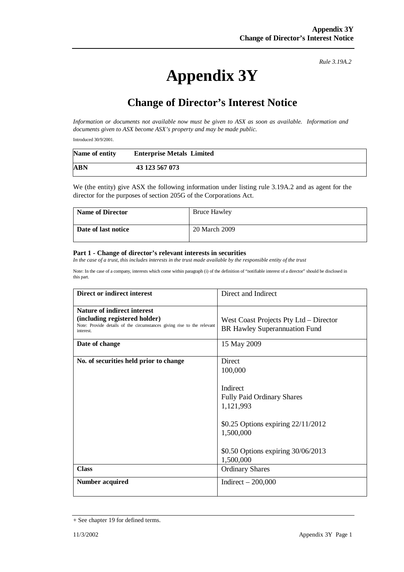### *Rule 3.19A.2*

# **Appendix 3Y**

## **Change of Director's Interest Notice**

*Information or documents not available now must be given to ASX as soon as available. Information and documents given to ASX become ASX's property and may be made public.* 

Introduced 30/9/2001.

| Name of entity | <b>Enterprise Metals Limited</b> |  |
|----------------|----------------------------------|--|
| ABN            | 43 123 567 073                   |  |

We (the entity) give ASX the following information under listing rule 3.19A.2 and as agent for the director for the purposes of section 205G of the Corporations Act.

| <b>Name of Director</b> | <b>Bruce Hawley</b> |
|-------------------------|---------------------|
| Date of last notice     | 20 March 2009       |

#### **Part 1 - Change of director's relevant interests in securities**

*In the case of a trust, this includes interests in the trust made available by the responsible entity of the trust* 

Note: In the case of a company, interests which come within paragraph (i) of the definition of "notifiable interest of a director" should be disclosed in this part.

| <b>Direct or indirect interest</b>                                                                                                                  | Direct and Indirect                                                                                                                                                                     |
|-----------------------------------------------------------------------------------------------------------------------------------------------------|-----------------------------------------------------------------------------------------------------------------------------------------------------------------------------------------|
| Nature of indirect interest<br>(including registered holder)<br>Note: Provide details of the circumstances giving rise to the relevant<br>interest. | West Coast Projects Pty Ltd – Director<br><b>BR Hawley Superannuation Fund</b>                                                                                                          |
| Date of change                                                                                                                                      | 15 May 2009                                                                                                                                                                             |
| No. of securities held prior to change                                                                                                              | Direct<br>100,000<br>Indirect<br><b>Fully Paid Ordinary Shares</b><br>1,121,993<br>\$0.25 Options expiring $22/11/2012$<br>1,500,000<br>\$0.50 Options expiring 30/06/2013<br>1,500,000 |
| <b>Class</b>                                                                                                                                        | <b>Ordinary Shares</b>                                                                                                                                                                  |
| <b>Number acquired</b>                                                                                                                              | Indirect $-200,000$                                                                                                                                                                     |

<sup>+</sup> See chapter 19 for defined terms.